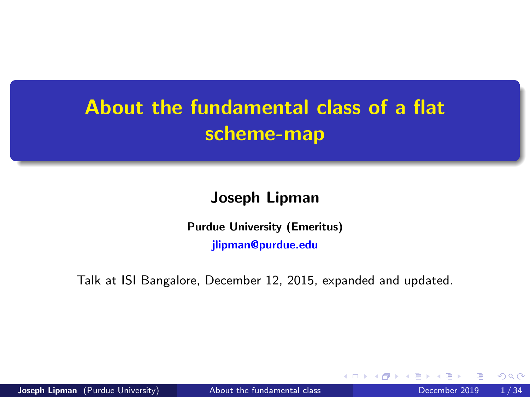## <span id="page-0-0"></span>About the fundamental class of a flat scheme-map

#### Joseph Lipman

Purdue University (Emeritus) [jlipman@purdue.edu](mailto:jlipman@purdue.edu)

Talk at ISI Bangalore, December 12, 2015, expanded and updated.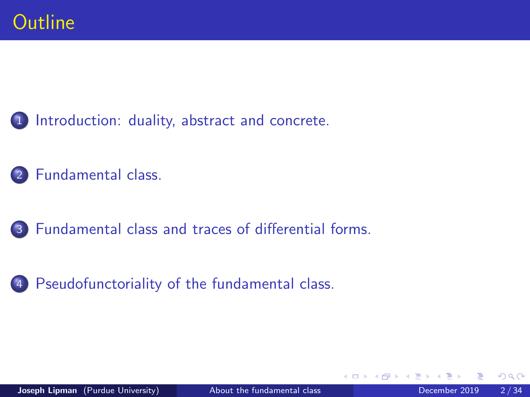<span id="page-1-0"></span>1 [Introduction: duality, abstract and concrete.](#page-2-0)

[Fundamental class.](#page-16-0)

3 [Fundamental class and traces of differential forms.](#page-22-0)

4 [Pseudofunctoriality of the fundamental class.](#page-31-0)

4 0 8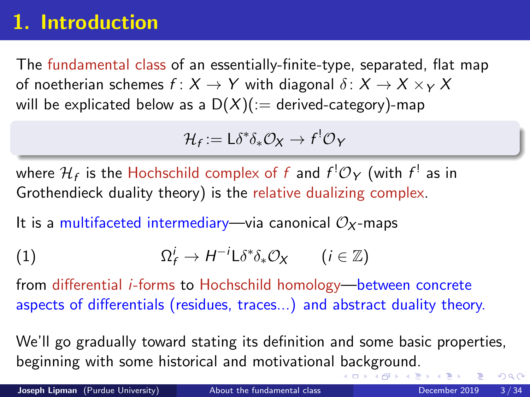## <span id="page-2-0"></span>1. Introduction

The fundamental class of an essentially-finite-type, separated, flat map of noetherian schemes  $f: X \to Y$  with diagonal  $\delta: X \to X \times_Y X$ will be explicated below as a  $D(X)(:=$  derived-category)-map

$$
\mathcal{H}_f := \mathsf{L}\delta^*\delta_*\mathcal{O}_X \to f^!\mathcal{O}_Y
$$

where  $\mathcal{H}_f$  is the Hochschild complex of  $f$  and  $f^!\mathcal{O}_Y$  (with  $f^!$  as in Grothendieck duality theory) is the relative dualizing complex.

It is a multifaceted intermediary—via canonical  $\mathcal{O}_X$ -maps

(1) 
$$
\Omega_f^i \to H^{-i} \mathsf{L} \delta^* \delta_* \mathcal{O}_X \qquad (i \in \mathbb{Z})
$$

from differential i-forms to Hochschild homology—between concrete aspects of differentials (residues, traces...) and abstract duality theory.

We'll go gradually toward stating its definition and some basic properties, beginning with some historical and motivational [ba](#page-1-0)[ck](#page-3-0)[g](#page-1-0)[ro](#page-2-0)[u](#page-3-0)[n](#page-1-0)[d](#page-2-0)[.](#page-15-0)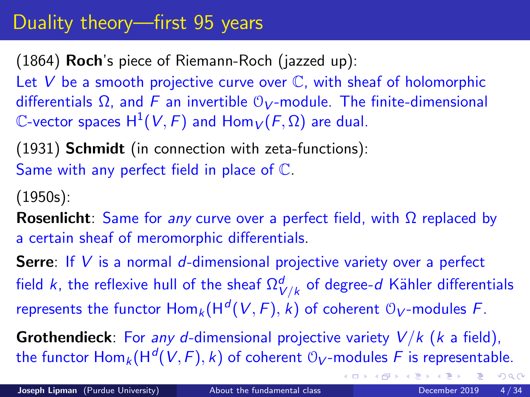## <span id="page-3-0"></span>Duality theory—first 95 years

(1864) Roch's piece of Riemann-Roch (jazzed up):

Let  $V$  be a smooth projective curve over  $\mathbb C$ , with sheaf of holomorphic differentials  $\Omega$ , and F an invertible  $\mathcal{O}_V$ -module. The finite-dimensional  $\mathbb C$ -vector spaces  $\mathsf{H}^1(V,F)$  and  $\mathsf{Hom}_V(F,\Omega)$  are dual.

(1931) Schmidt (in connection with zeta-functions): Same with any perfect field in place of C.

(1950s):

**Rosenlicht**: Same for any curve over a perfect field, with  $\Omega$  replaced by a certain sheaf of meromorphic differentials.

**Serre:** If V is a normal d-dimensional projective variety over a perfect field  $k$ , the reflexive hull of the sheaf  $\Omega^d_{V/k}$  of degree- $d$  Kähler differentials represents the functor  $\mathsf{Hom}_k(\mathsf{H}^d(V,F),k)$  of coherent  $\mathcal{O}_V\text{-modules }F.$ 

**Grothendieck**: For any d-dimensional projective variety  $V/k$  ( $k$  a field), the functor  $\mathsf{Hom}_k(\mathsf{H}^d(V,F),k)$  of coherent  $\mathbb{O}_V\text{-modules }F$  is representable.

 $QQ$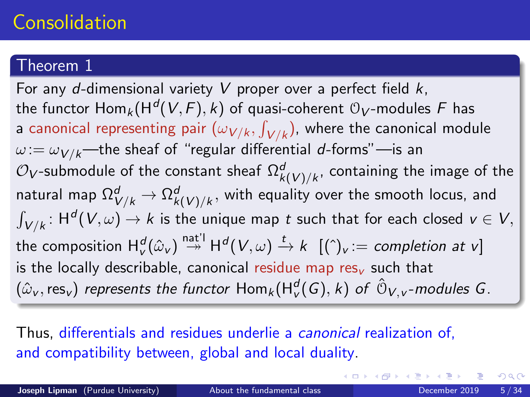## Consolidation

#### Theorem 1

For any d-dimensional variety V proper over a perfect field  $k$ , the functor  $\mathsf{Hom}_k(\mathsf{H}^d(V,F),k)$  of quasi-coherent  $\mathfrak{O}_V\text{-modules }F$  has a canonical representing pair  $(\omega_{V/k}, \int_{V/k})$ , where the canonical module  $\omega := \omega_{V/k}$ —the sheaf of "regular differential d-forms"—is an  $\mathcal{O}_{V}$ -submodule of the constant sheaf  $\Omega_{k(V)/k}^{d}$ , containing the image of the natural map  $\Omega^d_{V/k} \to \Omega^d_{k(V)/k},$  with equality over the smooth locus, and  $\int_{V/k}\colon \mathsf{H}^{\mathsf{d}}(V,\omega)\to k$  is the unique map  $t$  such that for each closed  $v\in V,$ the composition  $\mathsf{H}^d_\mathsf{v}(\hat \omega_\mathsf{v}) \stackrel{\mathsf{nat} \mathsf{u}}{\twoheadrightarrow} \mathsf{H}^d(\mathsf{V}, \omega) \stackrel{t}{\rightarrow} k \ \ [(\hat \ })_\mathsf{v} := \mathsf{completion} \ \mathsf{at} \ \mathsf{v} ]$ is the locally describable, canonical residue map res $<sub>v</sub>$  such that</sub>  $(\hat{\omega}_{\rm v}, {\rm res}_{\rm v})$  represents the functor  ${\sf Hom}_k({\sf H}^d_{\rm v}(G),k)$  of  $\hat{\mathbb O}_{V, {\rm v}}$ -modules  $G.$ 

Thus, differentials and residues underlie a canonical realization of, and compatibility between, global and local duality.

 $\Omega$ 

(ロト (個) (ミト (重)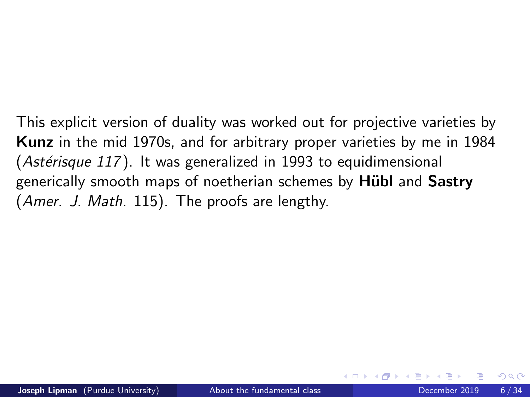This explicit version of duality was worked out for projective varieties by Kunz in the mid 1970s, and for arbitrary proper varieties by me in 1984  $(Ast\acute{e}risque 117)$ . It was generalized in 1993 to equidimensional generically smooth maps of noetherian schemes by **Hubl** and **Sastry** (Amer. J. Math. 115). The proofs are lengthy.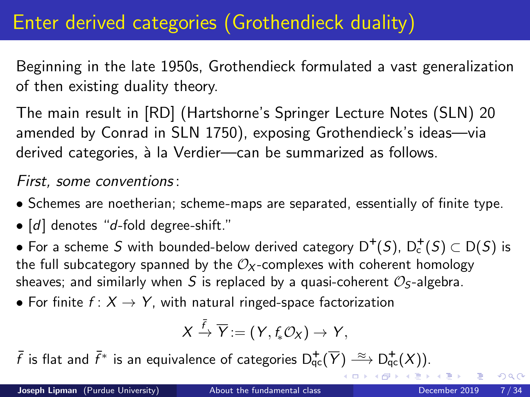## Enter derived categories (Grothendieck duality)

Beginning in the late 1950s, Grothendieck formulated a vast generalization of then existing duality theory.

The main result in [RD] (Hartshorne's Springer Lecture Notes (SLN) 20 amended by Conrad in SLN 1750), exposing Grothendieck's ideas—via derived categories, à la Verdier—can be summarized as follows.

First, some conventions:

- Schemes are noetherian; scheme-maps are separated, essentially of finite type.
- $[d]$  denotes "d-fold degree-shift."

 $\bullet$  For a scheme  $S$  with bounded-below derived category  $\mathsf{D}^{+}(S),\, \mathsf{D}_{\mathsf{c}}^{+}(S) \subset \mathsf{D}(S)$  is the full subcategory spanned by the  $\mathcal{O}_X$ -complexes with coherent homology sheaves; and similarly when S is replaced by a quasi-coherent  $\mathcal{O}_S$ -algebra.

• For finite  $f: X \rightarrow Y$ , with natural ringed-space factorization

$$
X \xrightarrow{\bar{f}} \overline{Y} := (Y, f_* \mathcal{O}_X) \to Y,
$$

 $\bar{f}$  is flat and  $\bar{f}^*$  is an equivalence of categories  $\mathsf{D}^+_\mathsf{qc}(\overline{Y}) \stackrel{\approx}{\longrightarrow} \mathsf{D}^+_\mathsf{qc}(X)).$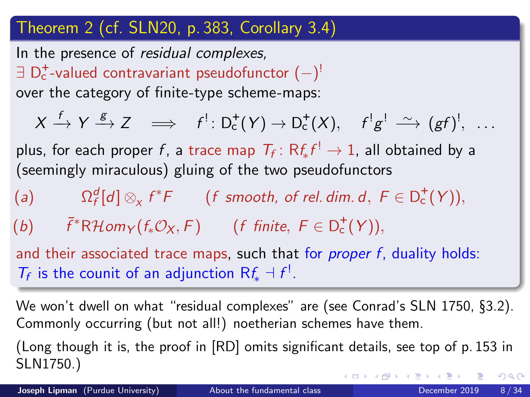#### Theorem 2 (cf. SLN20, p. 383, Corollary 3.4)

In the presence of residual complexes,  $\exists$   $\mathsf{D}_\mathsf{c}^*$ -valued contravariant pseudofunctor  $(-)^!\,$ over the category of finite-type scheme-maps:

 $X \xrightarrow{f} Y \xrightarrow{g} Z \implies f^! \colon \mathsf{D}^+_{\mathsf{c}}(Y) \to \mathsf{D}^+_{\mathsf{c}}(X), \quad f^! g^! \xrightarrow{\sim} (gf)^!, \ldots$ plus, for each proper  $f$ , a trace map  $\mathcal{T}_f \colon \mathsf{R} \mathit{f}_* \mathit{f}^! \to \mathsf{1}$ , all obtained by a (seemingly miraculous) gluing of the two pseudofunctors

 $(a)$  ${}^d_f[d]\otimes_\chi f^*F$  (f smooth, of rel. dim. d,  $F\in D_{\rm c}^+(Y)),$ 

(b)  $\bar{f}^*R\mathcal{H}om_Y(f_*\mathcal{O}_X, F)$  (f finite,  $F \in D_c^+(Y)$ ),

and their associated trace maps, such that for *proper f*, duality holds:  $T_f$  is the counit of an adjunction  $Rf_* \dashv f^!$ .

We won't dwell on what "residual complexes" are (see Conrad's SLN 1750, §3.2). Commonly occurring (but not all!) noetherian schemes have them.

(Long though it is, the proof in [RD] omits significant details, see top of p. 153 in SLN1750.)  $QQ$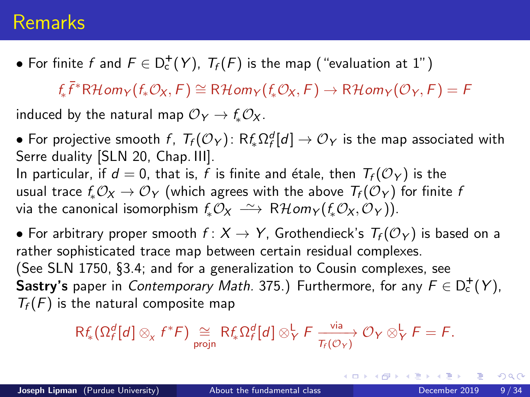### Remarks

 $\bullet$  For finite  $f$  and  $F \in D^+_{c}(Y)$ ,  $\mathcal{T}_f(F)$  is the map ("evaluation at  $1$ ")

 $f_*\bar{f}^*R\mathcal{H}$ om $_Y(f_*\mathcal{O}_X,F) \cong R\mathcal{H}$ om $_Y(f_*\mathcal{O}_X,F) \to R\mathcal{H}$ om $_Y(\mathcal{O}_Y,F) = F$ 

induced by the natural map  $\mathcal{O}_Y \rightarrow f_* \mathcal{O}_X$ .

 $\bullet$  For projective smooth  $f$ ,  $\mathcal{T}_f(\mathcal{O}_Y)$ :  $\mathsf{R} f_* \Omega_f^d[d] \to \mathcal{O}_Y$  is the map associated with Serre duality [SLN 20, Chap. III].

In particular, if  $d = 0$ , that is, f is finite and étale, then  $T_f$  ( $\mathcal{O}_Y$ ) is the usual trace  $f_*\mathcal{O}_X \to \mathcal{O}_Y$  (which agrees with the above  $T_f(\mathcal{O}_Y)$  for finite f via the canonical isomorphism  $f_*\mathcal{O}_X \longrightarrow \mathbb{R}$  Hom $_Y(f_*\mathcal{O}_X, \mathcal{O}_Y)$ ).

• For arbitrary proper smooth  $f: X \to Y$ , Grothendieck's  $T_f(\mathcal{O}_Y)$  is based on a rather sophisticated trace map between certain residual complexes. (See SLN 1750, §3.4; and for a generalization to Cousin complexes, see Sastry's paper in *Contemporary Math.* 375.) Furthermore, for any  $F \in D_c^+(Y)$ ,  $T_f(F)$  is the natural composite map

$$
\mathsf{R} f_* \big( \Omega_f^d [d] \otimes_{\chi} f^* \mathcal{F} \big) \underset{\text{projn}}{\cong} \mathsf{R} f_* \Omega_f^d [d] \otimes_Y^{\mathsf{L}} \mathcal{F} \xrightarrow[\mathcal{T}_f(\mathcal{O}_Y)]{} \mathcal{O}_Y \otimes_Y^{\mathsf{L}} \mathcal{F} = \mathcal{F}.
$$

 $200$ 

イロメ イ部メ イヨメ イヨメー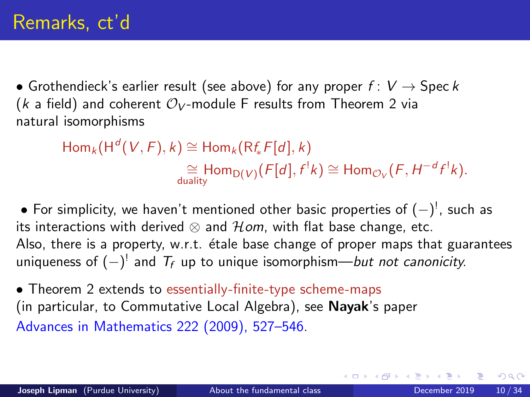<span id="page-9-0"></span>• Grothendieck's earlier result (see above) for any proper  $f: V \rightarrow \text{Spec } k$ (k a field) and coherent  $\mathcal{O}_V$ -module F results from Theorem 2 via natural isomorphisms

> $\mathsf{Hom}_k(\mathsf{H}^d(V, F), k) \cong \mathsf{Hom}_k(\mathsf{Rf}_*F[d], k)$  $\cong$  Hom<sub>D(V)</sub>(F[d], f<sup>1</sup>k)  $\cong$  Hom<sub>Ov</sub>(F, H<sup>-d</sup>f<sup>1</sup>k).

 $\bullet$  For simplicity, we haven't mentioned other basic properties of  $(-)^!$ , such as its interactions with derived  $\otimes$  and  $\mathcal{H}$ om, with flat base change, etc. Also, there is a property, w.r.t. étale base change of proper maps that guarantees uniqueness of  $(-)^!$  and  $\mathcal{T}_f$  up to unique isomorphism—*but not canonicity.* 

• Theorem 2 extends to essentially-finite-type scheme-maps (in particular, to Commutative Local Algebra), see Nayak's paper Advances in Mathematics 222 (2009), 527–546.

 $QQQ$ 

K ロ ⊁ K 御 ⊁ K 君 ⊁ K 君 ⊁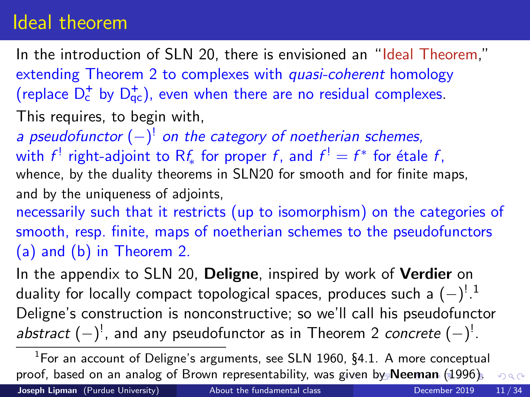### <span id="page-10-0"></span>Ideal theorem

In the introduction of SLN 20, there is envisioned an "Ideal Theorem," extending Theorem 2 to complexes with *quasi-coherent* homology (replace  $D_c^+$  by  $D_{qc}^+$ ), even when there are no residual complexes.

- This requires, to begin with,
- a pseudofunctor  $(-)^{!}$  on the category of noetherian schemes, with  $f^!$  right-adjoint to  $\mathsf{R} f_*$  for proper  $f$ , and  $f^! = f^*$  for étale  $f$ , whence, by the duality theorems in SLN20 for smooth and for finite maps, and by the uniqueness of adjoints,

necessarily such that it restricts (up to isomorphism) on the categories of smooth, resp. finite, maps of noetherian schemes to the pseudofunctors (a) and (b) in Theorem 2.

In the appendix to SLN 20, **Deligne**, inspired by work of **Verdier** on duality for locally compact topological spaces, produces such a  $(-)^{!\,1}$ Deligne's construction is nonconstructive; so we'll call his pseudofunctor abstract  $(-)^!$ , and any pseudofunctor as in Theorem 2 concrete  $(-)^!$ .

<sup>&</sup>lt;sup>1</sup>For an account of Deligne's arguments, see SLN 1960, §4.1. A more conceptual proof, based on an analog of Brown representability, was [giv](#page-9-0)[en](#page-11-0) [b](#page-9-0)[y](#page-10-0) [N](#page-11-0)[ee](#page-1-0)[m](#page-15-0)[a](#page-16-0)[n](#page-1-0) [\(](#page-2-0)[1](#page-15-0)[9](#page-16-0)[96\)](#page-0-0)[.](#page-33-0)  $QQ$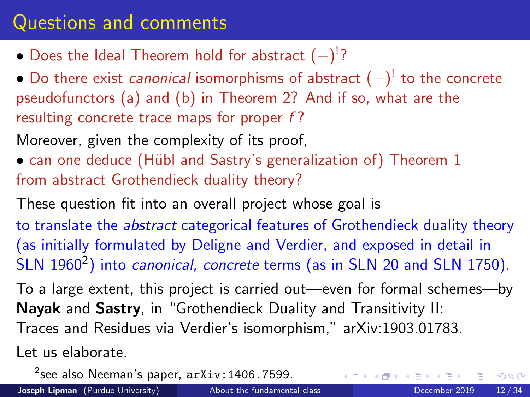## <span id="page-11-0"></span>Questions and comments

- Does the Ideal Theorem hold for abstract  $(-)^{!}$ ?
- $\bullet$  Do there exist *canonical* isomorphisms of abstract  $(-)^{!}$  to the concrete pseudofunctors (a) and (b) in Theorem 2? And if so, what are the resulting concrete trace maps for proper f?

Moreover, given the complexity of its proof,

• can one deduce (Hübl and Sastry's generalization of) Theorem 1 from abstract Grothendieck duality theory?

These question fit into an overall project whose goal is to translate the *abstract* categorical features of Grothendieck duality theory (as initially formulated by Deligne and Verdier, and exposed in detail in SLN 1960<sup>2</sup>) into *canonical, concrete* terms (as in SLN 20 and SLN 1750).

To a large extent, this project is carried out—even for formal schemes—by Nayak and Sastry, in "Grothendieck Duality and Transitivity II: Traces and Residues via Verdier's isomorphism," arXiv:1903.01783.

Let us elaborate.

 $^{2}$ see also Neeman's paper,  $\mathtt{arXiv:}$ 1406.7599.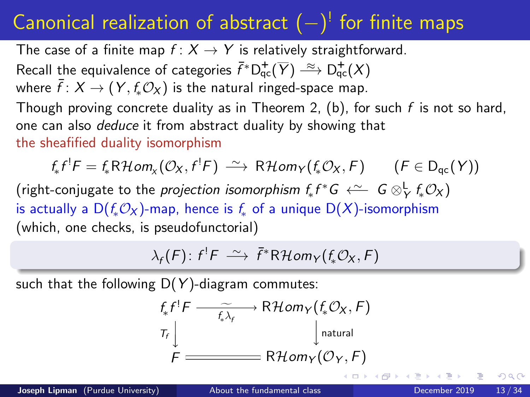## <span id="page-12-0"></span>Canonical realization of abstract  $(-)^{!}$  for finite maps

The case of a finite map  $f: X \rightarrow Y$  is relatively straightforward.

Recall the equivalence of categories  $\bar f^*\mathsf{D}^+_{\mathsf{qc}}(\overline Y)\stackrel{\approx}{\longrightarrow}\mathsf{D}^+_{\mathsf{qc}}(X)$ 

where  $\bar{f}: X \to (Y, f_*\mathcal{O}_X)$  is the natural ringed-space map.

Though proving concrete duality as in Theorem 2, (b), for such f is not so hard, one can also deduce it from abstract duality by showing that the sheafified duality isomorphism

$$
f_*f^!F = f_*R\mathcal{H}\text{om}_X(\mathcal{O}_X, f^!F) \xrightarrow{\sim} R\mathcal{H}\text{om}_Y(f_*\mathcal{O}_X, F) \qquad (F \in D_{qc}(Y))
$$

(right-conjugate to the *projection isomorphism*  $f_*f^*G \stackrel{\sim}{\leftarrow} G\otimes^{\mathsf{L}}_\mathsf{Y} f_*\mathcal{O}_\mathsf{X}$ ) is actually a  $D(f_*\mathcal{O}_X)$ -map, hence is  $f_*$  of a unique  $D(X)$ -isomorphism (which, one checks, is pseudofunctorial)

$$
\lambda_f(F) \colon f^!F \; \xrightarrow{\sim} \; \bar{f}^*R\mathcal{H}om_Y(f_*\mathcal{O}_X,F)
$$

such that the following  $D(Y)$ -diagram commutes:

$$
f_{*}f^{!}F \xrightarrow{f_{*}\lambda_{f}} \text{R}Hom_{Y}(f_{*}\mathcal{O}_{X}, F)
$$
\n
$$
T_{f} \downarrow \qquad \qquad \downarrow \text{natural}
$$
\n
$$
F \xrightarrow{H \text{ dom}_{Y}(\mathcal{O}_{Y}, F)}
$$

 $200$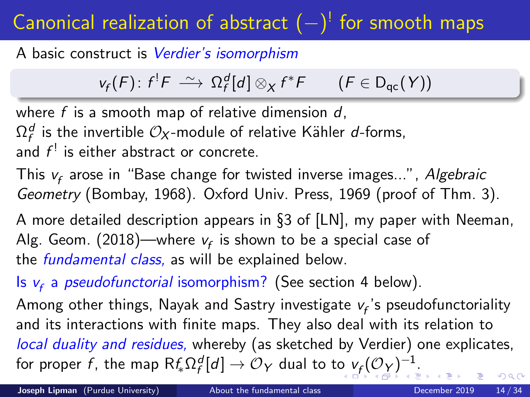# <span id="page-13-0"></span>Canonical realization of abstract  $(-)^{!}$  for smooth maps

A basic construct is Verdier's isomorphism

$$
v_f(F) \colon f^!F \; \xrightarrow{\sim} \; \Omega_f^d[d] \otimes_X f^*F \qquad (F \in D_{qc}(Y))
$$

where  $f$  is a smooth map of relative dimension  $d$ .

 $\Omega_f^d$  is the invertible  $\mathcal{O}_X$ -module of relative Kähler  $d$ -forms,

and  $f^!$  is either abstract or concrete.

This  $v_f$  arose in "Base change for twisted inverse images...", *Algebraic* Geometry (Bombay, 1968). Oxford Univ. Press, 1969 (proof of Thm. 3).

A more detailed description appears in §3 of [LN], my paper with Neeman, Alg. Geom. (2018)—where  $v_f$  is shown to be a special case of the *fundamental class*, as will be explained below.

Is  $v_f$  a *pseudofunctorial* isomorphism? (See section 4 below).

Among other things, Nayak and Sastry investigate  $\mathsf{v}_{\mathsf{f}}$ 's pseudofunctoriality and its interactions with finite maps. They also deal with its relation to local duality and residues, whereby (as sketched by Verdier) one explicates, f[o](#page-12-0)r proper  $f$ , the map  $\mathsf{R} \mathit{f}_* \Omega_f^d[d] \to \mathcal{O}_Y$  $\mathsf{R} \mathit{f}_* \Omega_f^d[d] \to \mathcal{O}_Y$  $\mathsf{R} \mathit{f}_* \Omega_f^d[d] \to \mathcal{O}_Y$  $\mathsf{R} \mathit{f}_* \Omega_f^d[d] \to \mathcal{O}_Y$  dual to to  $\mathit{v}_f(\mathcal{O}_Y)^{-1}.$  $\mathit{v}_f(\mathcal{O}_Y)^{-1}.$  $\mathit{v}_f(\mathcal{O}_Y)^{-1}.$  $\mathit{v}_f(\mathcal{O}_Y)^{-1}.$  $\mathit{v}_f(\mathcal{O}_Y)^{-1}.$  $\mathit{v}_f(\mathcal{O}_Y)^{-1}.$  $\Omega$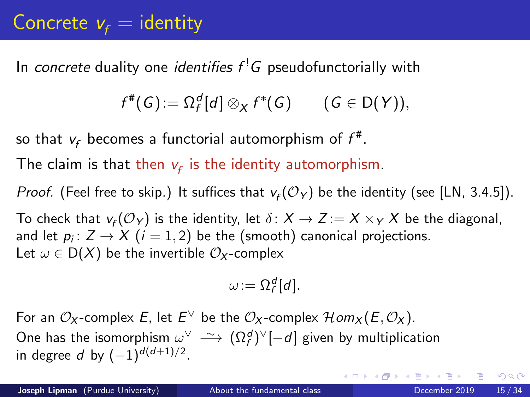## <span id="page-14-0"></span>Concrete  $v_f =$  identity

In *concrete* duality one *identifies*  $f^!G$  *pseudofunctorially with* 

$$
f^{\#}(G) := \Omega_f^d[d] \otimes_X f^*(G) \qquad (G \in D(Y)),
$$

so that  $v_f$  becomes a functorial automorphism of  $f^\#$ .

The claim is that then  $v_f$  is the identity automorphism.

*Proof.* (Feel free to skip.) It suffices that  $v_f(\mathcal{O}_Y)$  be the identity (see [LN, 3.4.5]).

To check that  $\mathsf{v}_f(\mathcal{O}_Y)$  is the identity, let  $\delta\colon X\to Z:=X\times_Y X$  be the diagonal, and let  $p_i\colon Z\to X$   $(i=1,2)$  be the (smooth) canonical projections. Let  $\omega \in D(X)$  be the invertible  $\mathcal{O}_X$ -complex

$$
\omega:=\Omega_f^d[d].
$$

For an  $\mathcal{O}_X$ -complex E, let  $E^\vee$  be the  $\mathcal{O}_X$ -complex  $\mathcal{H}$ om $_X(E,\mathcal{O}_X)$ . One has the isomorphism  $\omega^\vee \ \tilde{\longrightarrow} \ (\Omega_f^d)^\vee[-d]$  given by multiplication in degree d by  $(-1)^{d(d+1)/2}$ .

 $QQ$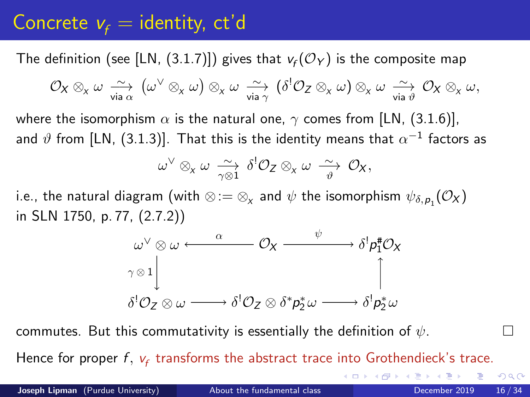## <span id="page-15-0"></span>Concrete  $v_f =$  identity, ct'd

The definition (see [LN, (3.1.7)]) gives that  $v_f(\mathcal{O}_Y)$  is the composite map

$$
\mathcal{O}_X\otimes_{_X}\omega\underset{\text{via }\alpha}{\sim}\left(\omega^\vee\otimes_{_X}\omega\right)\otimes_{_X}\omega\underset{\text{via }\gamma}{\sim}\left(\delta^!\mathcal{O}_Z\otimes_{_X}\omega\right)\otimes_{_X}\omega\underset{\text{via }\vartheta}{\sim}\mathcal{O}_X\otimes_{_X}\omega,
$$

where the isomorphism  $\alpha$  is the natural one,  $\gamma$  comes from [LN, (3.1.6)], and  $\vartheta$  from [LN, (3.1.3)]. That this is the identity means that  $\alpha^{-1}$  factors as

$$
\omega^{\vee} \otimes_{x} \omega \xrightarrow[\gamma \otimes 1]{\sim} \delta^{!} \mathcal{O}_{Z} \otimes_{x} \omega \xrightarrow[\vartheta]{\sim} \mathcal{O}_{X},
$$

i.e., the natural diagram (with  $\otimes$  : $=$   $\otimes_{\chi}$  and  $\psi$  the isomorphism  $\psi_{\delta,\rho_1}({\mathcal O}_{\mathsf X})$ in SLN 1750, p. 77, (2.7.2))



commutes. But this commutativity is essentially the definition of  $\psi$ .

Hence for proper  $f$ ,  $v_f$  transforms the abstract trace into Grothendieck's trace.

∢ ロ ▶ 《 母 》 《 ヨ 》 《 ヨ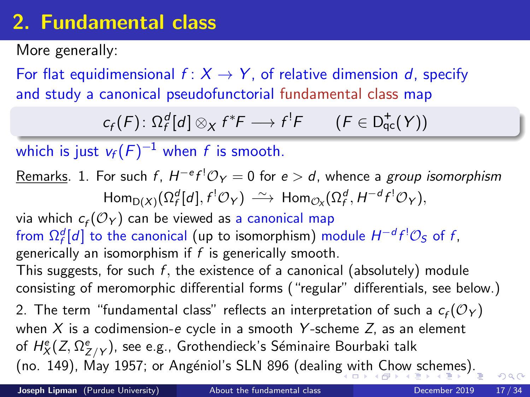## <span id="page-16-0"></span>2. Fundamental class

More generally:

For flat equidimensional  $f: X \rightarrow Y$ , of relative dimension d, specify and study a canonical pseudofunctorial fundamental class map

$$
c_f(F) \colon \Omega_f^d[d] \otimes_X f^*F \longrightarrow f^!F \qquad (F \in \mathsf{D}_{\mathsf{qc}}^{\mathsf{+}}(Y))
$$

which is just  $v_f(F)^{-1}$  when  $f$  is smooth.

## <u>Remarks</u>. 1. For such f,  $H^{-e}$ f' $\mathcal{O}_Y=0$  for  $e>d$ , whence a *group isomorphism*  $\mathsf{Hom}_{\mathsf{D}(X)}(\Omega_f^d[d],f^!\mathcal{O}_Y)\,\stackrel{\sim}{\longrightarrow}\, \mathsf{Hom}_{\mathcal{O}_X}(\Omega_f^d,H^{-d}f^!\mathcal{O}_Y),$

via which  $c_f({\cal O}_Y)$  can be viewed as a canonical map from  $\Omega_f^d[d]$  to the canonical (up to isomorphism) module  $H^{-d}f^!{\mathcal O}_S$  of f, generically an isomorphism if  $f$  is generically smooth. This suggests, for such  $f$ , the existence of a canonical (absolutely) module consisting of meromorphic differential forms ("regular" differentials, see below.) 2. The term "fundamental class" reflects an interpretation of such a  $\mathsf{c}_f(\mathcal{O}_Y)$ when  $X$  is a codimension-e cycle in a smooth Y-scheme Z, as an element of  $H_{X}^{\mathrm{e}}(Z,\Omega_{Z/Y}^{\mathrm{e}})$ , see e.g., Grothendieck's Séminaire Bourbaki talk (no. 149), May 1957; or Angéniol's SLN 896 (dealin[g w](#page-15-0)[ith](#page-17-0)[Ch](#page-16-0)[o](#page-17-0)[w](#page-15-0) [s](#page-21-0)[ch](#page-22-0)[e](#page-15-0)[m](#page-16-0)[es](#page-22-0)[\).](#page-0-0)  $\Omega$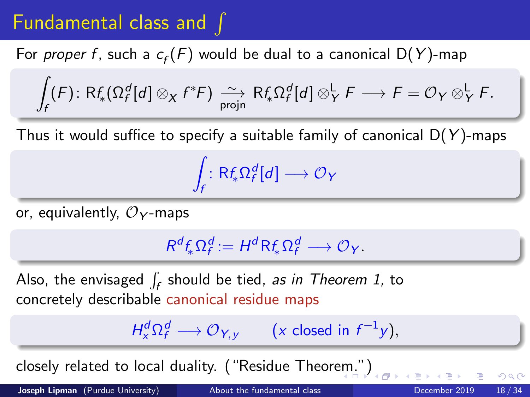## <span id="page-17-0"></span>Fundamental class and  $\int$

For *proper f* , such a  $c_f(F)$  would be dual to a canonical D(Y)-map

$$
\int_f (F) \colon \mathrm{R}f_* \big( \Omega_f^d[d] \otimes_X f^*F \big) \xrightarrow[\text{projn}]{\sim} \mathrm{R}f_* \Omega_f^d[d] \otimes_Y^{\mathsf{L}} F \longrightarrow F = \mathcal{O}_Y \otimes_Y^{\mathsf{L}} F.
$$

Thus it would suffice to specify a suitable family of canonical  $D(Y)$ -maps

Z  $\int_f : \mathsf{R}f_*\Omega_f^d[d] \longrightarrow \mathcal{O}_Y$ 

or, equivalently,  $\mathcal{O}_Y$ -maps

$$
R^d f_* \Omega_f^d := H^d R f_* \Omega_f^d \longrightarrow \mathcal{O}_Y.
$$

Also, the envisaged  $\int_f$  should be tied, *as in Theorem 1,* to concretely describable canonical residue maps

$$
H^d_x \Omega_f^d \longrightarrow \mathcal{O}_{Y,y} \qquad (x \text{ closed in } f^{-1}y),
$$

closely related to local duality. ("Residue Theor[em](#page-16-0).["\)](#page-18-0)

Joseph Lipman (Purdue University) [About the fundamental class](#page-0-0) December 2019 18/34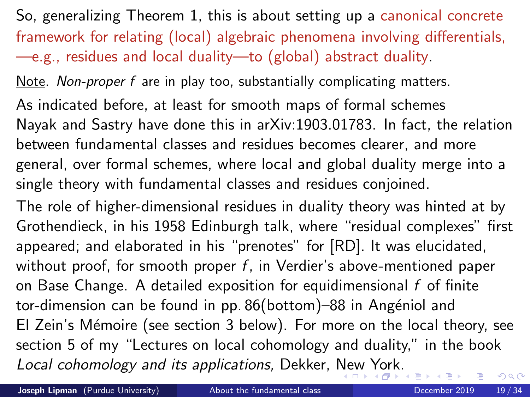<span id="page-18-0"></span>So, generalizing Theorem 1, this is about setting up a canonical concrete framework for relating (local) algebraic phenomena involving differentials, —e.g., residues and local duality—to (global) abstract duality.

Note. Non-proper f are in play too, substantially complicating matters.

As indicated before, at least for smooth maps of formal schemes Nayak and Sastry have done this in arXiv:1903.01783. In fact, the relation between fundamental classes and residues becomes clearer, and more general, over formal schemes, where local and global duality merge into a single theory with fundamental classes and residues conjoined.

The role of higher-dimensional residues in duality theory was hinted at by Grothendieck, in his 1958 Edinburgh talk, where "residual complexes" first appeared; and elaborated in his "prenotes" for [RD]. It was elucidated, without proof, for smooth proper  $f$ , in Verdier's above-mentioned paper on Base Change. A detailed exposition for equidimensional f of finite tor-dimension can be found in pp. 86(bottom)–88 in Angéniol and El Zein's Mémoire (see section 3 below). For more on the local theory, see section 5 of my "Lectures on local cohomology and duality," in the book Local cohomology and its applications, Dekker, [Ne](#page-17-0)[w](#page-19-0) [Y](#page-17-0)[or](#page-18-0)[k.](#page-19-0)  $QQ$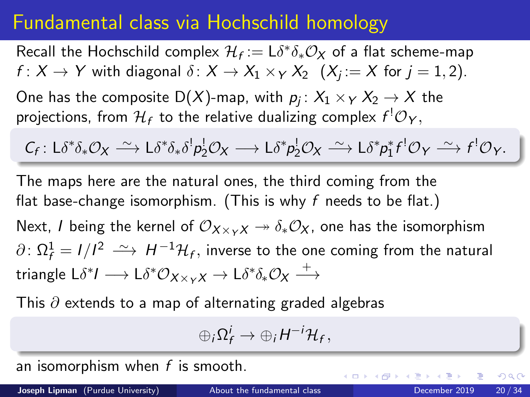### <span id="page-19-0"></span>Fundamental class via Hochschild homology

Recall the Hochschild complex  $\mathcal{H}_f := \mathsf{L} \delta^* \delta_* \mathcal{O}_{\mathsf{X}}$  of a flat scheme-map  $f\colon X\to Y$  with diagonal  $\delta\colon X\to X_1\times_Y X_2\;\;(X_j\coloneqq X$  for  $j=1,2).$ 

One has the composite D(X)-map, with  $\rho_j\colon X_1\times_Y X_2\to X$  the projections, from  $\mathcal{H}_f$  to the relative dualizing complex  $f^!\mathcal{O}_Y,$ 

$$
C_f: L\delta^*\delta_*\mathcal{O}_X \longrightarrow L\delta^*\delta_*\delta^!\rho_2^!\mathcal{O}_X \longrightarrow L\delta^*\rho_2^!\mathcal{O}_X \longrightarrow L\delta^*\rho_1^*f^!\mathcal{O}_Y \longrightarrow f^!\mathcal{O}_Y.
$$

The maps here are the natural ones, the third coming from the flat base-change isomorphism. (This is why f needs to be flat.)

Next, I being the kernel of  $\mathcal{O}_{X\times_{Y}X} \rightarrow \delta_{*}\mathcal{O}_X$ , one has the isomorphism  $\partial\colon \Omega^1_f=I/I^2\;\stackrel{\sim}{\longrightarrow}\; H^{-1}\mathcal{H}_f,$  inverse to the one coming from the natural triangle L $\delta^* I \longrightarrow \mathsf{L} \delta^* \mathcal{O}_{\mathsf{X} \times_Y \mathsf{X}} \rightarrow \mathsf{L} \delta^* \delta_* \mathcal{O}_{\mathsf{X}} \stackrel{+}{\longrightarrow}$ 

This  $\partial$  extends to a map of alternating graded algebras

$$
\oplus_i \Omega_f^i \to \oplus_i H^{-i} \mathcal{H}_f,
$$

an isomorphism when  $f$  is smooth.

Joseph Lipman (Purdue University) [About the fundamental class](#page-0-0) December 2019 20/34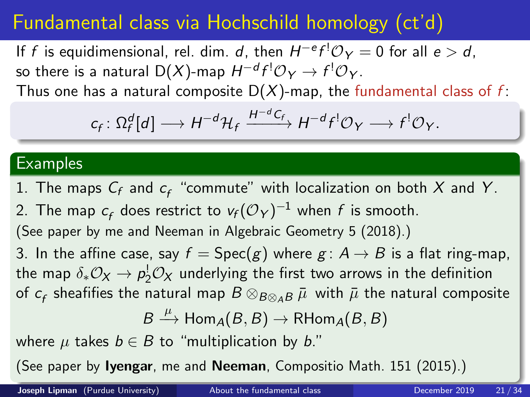## <span id="page-20-0"></span>Fundamental class via Hochschild homology (ct'd)

If f is equidimensional, rel. dim. d, then  $H^{-e}f^{!}\mathcal{O}_Y=0$  for all  $e>d$ , so there is a natural D $(X)$ -map  $H^{-d}f^{!}\mathcal{O}_Y\to f^{!}\mathcal{O}_Y.$ 

Thus one has a natural composite  $D(X)$ -map, the fundamental class of f:

$$
c_f \colon \Omega_f^d[d] \longrightarrow H^{-d} \mathcal{H}_f \xrightarrow{H^{-d} C_f} H^{-d} f^! \mathcal{O}_Y \longrightarrow f^! \mathcal{O}_Y.
$$

#### Examples

1. The maps  $\mathcal{C}_f$  and  $\mathcal{C}_f$  "commute" with localization on both  $X$  and  $Y$ . 2. The map  $c_f$  does restrict to  $v_f({\cal O}_Y)^{-1}$  when  $f$  is smooth. (See paper by me and Neeman in Algebraic Geometry 5 (2018).) 3. In the affine case, say  $f = \text{Spec}(g)$  where  $g: A \rightarrow B$  is a flat ring-map, the map  $\delta_* \mathcal{O}_{\mathsf{X}} \to p_2^! \mathcal{O}_{\mathsf{X}}$  underlying the first two arrows in the definition of  $c_f$  sheafifies the natural map  $B\otimes_{B\otimes_A B} \bar\mu\,$  with  $\bar\mu$  the natural composite  $B \stackrel{\mu}{\longrightarrow} \textsf{Hom}_A(B,B) \to \textsf{RHom}_A(B,B)$ where  $\mu$  takes  $b \in B$  to "multiplication by b." (See paper by Iyengar, me and Neeman, Compositi[o M](#page-19-0)[at](#page-21-0)[h](#page-19-0)[. 1](#page-20-0)[5](#page-21-0)[1](#page-15-0)[\(](#page-21-0)[20](#page-22-0)[1](#page-15-0)[5](#page-16-0)[\)](#page-21-0)[.\)](#page-22-0)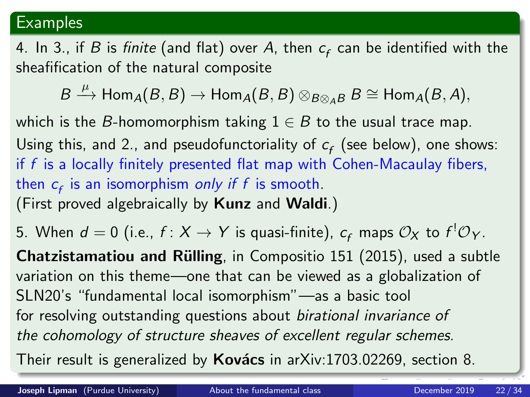#### <span id="page-21-0"></span>**Examples**

4. In 3., if  $B$  is *finite* (and flat) over  $A$ , then  $c_f$  can be identified with the sheafification of the natural composite

 $B \stackrel{\mu}{\longrightarrow} \operatorname{\mathsf{Hom}}\nolimits_{A}(B,B) \to \operatorname{\mathsf{Hom}}\nolimits_{A}(B,B) \otimes_{B \otimes_{A} B} B \cong \operatorname{\mathsf{Hom}}\nolimits_{A}(B,A),$ 

which is the B-homomorphism taking  $1 \in B$  to the usual trace map. Using this, and 2., and pseudofunctoriality of  $c_f$  (see below), one shows: if  $f$  is a locally finitely presented flat map with Cohen-Macaulay fibers, then  $c_f$  is an isomorphism *only if f* is smooth. (First proved algebraically by Kunz and Waldi.)

5. When  $d=0$  (i.e.,  $f\colon X\to Y$  is quasi-finite),  $c_f$  maps  $\mathcal{O}_X$  to  $f^{!}\mathcal{O}_Y.$ 

Chatzistamatiou and Rülling, in Compositio 151 (2015), used a subtle variation on this theme—one that can be viewed as a globalization of SLN20's "fundamental local isomorphism"—as a basic tool for resolving outstanding questions about birational invariance of the cohomology of structure sheaves of excellent regular schemes. Their result is generalized by **Kovács** in arXiv:1703.02269, section 8.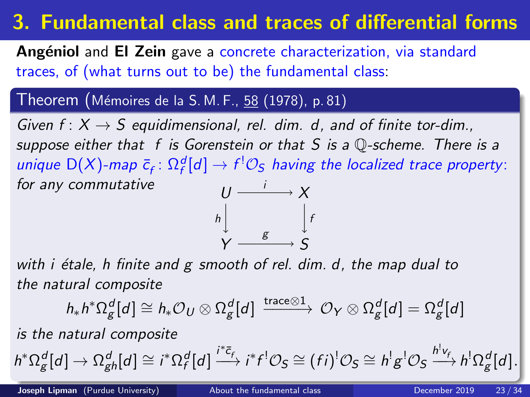# <span id="page-22-0"></span>3. Fundamental class and traces of differential forms

Angéniol and El Zein gave a concrete characterization, via standard traces, of (what turns out to be) the fundamental class:

#### Theorem (Mémoires de la S. M. F., 58 (1978), p. 81)

Given  $f: X \rightarrow S$  equidimensional, rel. dim. d, and of finite tor-dim., suppose either that f is Gorenstein or that S is a  $\mathbb Q$ -scheme. There is a unique  $D(X)$ -map  $\bar{c}_f \colon \Omega_f^d[d] \to f^! \mathcal{O}_S$  having the localized trace property: for any commutative  $\frac{1}{\sqrt{2}}$   $\rightarrow$  X



with  $i$  étale, h finite and g smooth of rel. dim. d, the map dual to the natural composite

$$
h_*h^*\Omega^d_g[d] \cong h_*\mathcal{O}_U \otimes \Omega^d_g[d] \xrightarrow{\text{trace} \otimes 1} \mathcal{O}_Y \otimes \Omega^d_g[d] = \Omega^d_g[d]
$$

is the natural composite

$$
h^*\Omega_g^d[d]\to \Omega_{gh}^d[d]\cong i^*\Omega_f^d[d]\xrightarrow{i^*\bar{c}_f} i^*f^!\mathcal{O}_S\cong (fi)^!\mathcal{O}_S\cong h^!g^!\mathcal{O}_S\xrightarrow{h^!v_f} h^!\Omega_g^d[d].
$$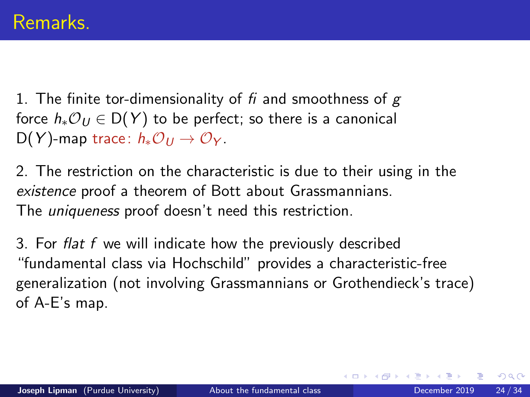<span id="page-23-0"></span>1. The finite tor-dimensionality of  $fi$  and smoothness of  $g$ force  $h_*\mathcal{O}_U \in D(Y)$  to be perfect; so there is a canonical D(Y)-map trace:  $h_*\mathcal{O}_U \rightarrow \mathcal{O}_Y$ .

2. The restriction on the characteristic is due to their using in the existence proof a theorem of Bott about Grassmannians. The *uniqueness* proof doesn't need this restriction.

3. For flat f we will indicate how the previously described "fundamental class via Hochschild" provides a characteristic-free generalization (not involving Grassmannians or Grothendieck's trace) of A-E's map.

 $200$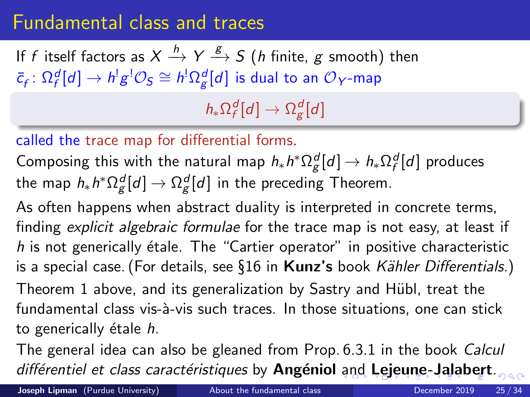### <span id="page-24-0"></span>Fundamental class and traces

If  $f$  itself factors as  $X\stackrel{h}{\longrightarrow}Y\stackrel{g}{\longrightarrow}S$   $(h$  finite,  $g$  smooth) then  $\bar{c}_f\colon \Omega_f^d[d]\to h^!g^! \mathcal{O}_S\cong h^!\Omega_g^d[d]$  is dual to an  $\mathcal{O}_Y$ -map

 $h_* \Omega_f^d[d] \rightarrow \Omega_g^d[d]$ 

#### called the trace map for differential forms.

Composing this with the natural map  $h_*h^*\Omega_{\cal E}^d[d]\to h_*\Omega_{\cal f}^d[d]$  produces the map  $h_* h^* \Omega_{\mathcal{g}}^d[d] \rightarrow \Omega_{\mathcal{g}}^d[d]$  in the preceding Theorem.

As often happens when abstract duality is interpreted in concrete terms, finding explicit algebraic formulae for the trace map is not easy, at least if h is not generically étale. The "Cartier operator" in positive characteristic is a special case. (For details, see §16 in Kunz's book Kähler Differentials.)

Theorem 1 above, and its generalization by Sastry and Hübl, treat the fundamental class vis-à-vis such traces. In those situations, one can stick to generically étale  $h$ .

The general idea can also be gleaned from Prop. 6.3.1 in the book Calcul différentiel et class caractéristiques by Angéniol [an](#page-23-0)[d](#page-25-0) [L](#page-23-0)[ej](#page-24-0)[e](#page-30-0)[u](#page-21-0)[n](#page-22-0)e[-](#page-31-0)[J](#page-21-0)[a](#page-31-0)[l](#page-30-0)a[be](#page-0-0)[rt](#page-33-0).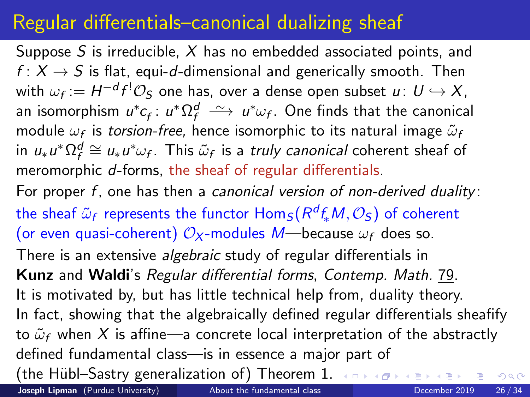## <span id="page-25-0"></span>Regular differentials–canonical dualizing sheaf

Suppose S is irreducible,  $X$  has no embedded associated points, and  $f: X \rightarrow S$  is flat, equi-d-dimensional and generically smooth. Then with  $\omega_f:=H^{-d}f^!\mathcal{O}_\mathcal{S}$  one has, over a dense open subset  $u\colon\thinspace U\hookrightarrow X,$ an isomorphism  $u^*c_f$ :  $u^*\Omega_f^d \ \stackrel{\sim}{\longrightarrow}\ u^*\omega_f$ . One finds that the canonical module  $\omega_f$  is *torsion-free,* hence isomorphic to its natural image  $\tilde{\omega}_t$ in  $u_*u^*\Omega_f^d\cong u_*u^*\omega_f$ . This  $\tilde{\omega}_f$  is a *truly canonical* coherent sheaf of meromorphic d-forms, the sheaf of regular differentials. For proper f, one has then a canonical version of non-derived duality: the sheaf  $\tilde{\omega}_f$  represents the functor  $\mathsf{Hom}_\mathcal{S}(R^df_*M, \mathcal{O}_\mathcal{S})$  of coherent (or even quasi-coherent)  $\mathcal{O}_X$ -modules M—because  $\omega_f$  does so. There is an extensive *algebraic* study of regular differentials in Kunz and Waldi's Regular differential forms, Contemp. Math. 79. It is motivated by, but has little technical help from, duality theory. In fact, showing that the algebraically defined regular differentials sheafify to  $\tilde{\omega}_f$  when X is affine—a concrete local interpretation of the abstractly defined fundamental class—is in essence a major part of (the Hübl–Sastry generalization of) Theorem 1.  $\longleftrightarrow$ 

Joseph Lipman (Purdue University) [About the fundamental class](#page-0-0) December 2019 26/34

 $QQ$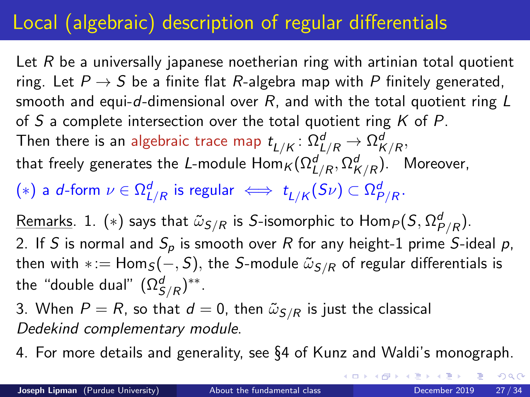# Local (algebraic) description of regular differentials

Let R be a universally japanese noetherian ring with artinian total quotient ring. Let  $P \rightarrow S$  be a finite flat R-algebra map with P finitely generated, smooth and equi-d-dimensional over  $R$ , and with the total quotient ring  $L$ of S a complete intersection over the total quotient ring K of P. Then there is an algebraic trace map  $t_{L/K}\colon \Omega^d_{L/R}\to \Omega^d_{K/R},$ that freely generates the L-module  $\mathsf{Hom}_\mathcal{K}(\Omega^d_{L/R},\Omega^d_{K/R})$ . Moreover,  $(*)$  a *d-*form  $\nu\in\Omega^d_{L/R}$  is regular  $\iff t_{L/K}(S\nu)\subset\Omega^d_{P/R}.$ 

<u>Remarks</u>. 1.  $(*)$  says that  $\tilde{\omega}_{S/R}$  is S-isomorphic to  $\mathsf{Hom}_P(S,\Omega^d_{P/R}).$ 2. If S is normal and  $S_p$  is smooth over R for any height-1 prime S-ideal p, then with \*:=  $Hom_S(-, S)$ , the S-module  $\tilde{\omega}_{S/R}$  of regular differentials is the "double dual"  $(\Omega^d_{S/R})^{**}.$ 

3. When  $P = R$ , so that  $d = 0$ , then  $\tilde{\omega}_{S/R}$  is just the classical Dedekind complementary module.

4. For more details and generality, see §4 of Kunz and Waldi's monograph.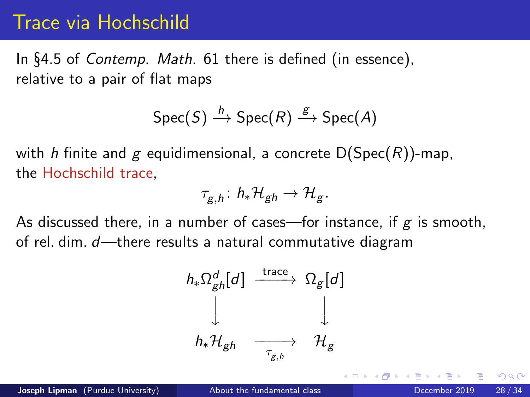### Trace via Hochschild

In §4.5 of Contemp. Math. 61 there is defined (in essence), relative to a pair of flat maps

$$
\text{Spec}(S) \xrightarrow{h} \text{Spec}(R) \xrightarrow{g} \text{Spec}(A)
$$

with h finite and g equidimensional, a concrete  $D(Spec(R))$ -map, the Hochschild trace,

$$
\tau_{g,h} \colon h_*\mathcal{H}_{gh} \to \mathcal{H}_g.
$$

As discussed there, in a number of cases—for instance, if  $g$  is smooth, of rel. dim. d—there results a natural commutative diagram

$$
h_*\Omega_{gh}^d[d] \xrightarrow{\text{trace}} \Omega_g[d]
$$
  

$$
\downarrow \qquad \qquad \downarrow
$$
  

$$
h_*\mathcal{H}_{gh} \xrightarrow{\tau_{g,h}} \mathcal{H}_g
$$

 $200$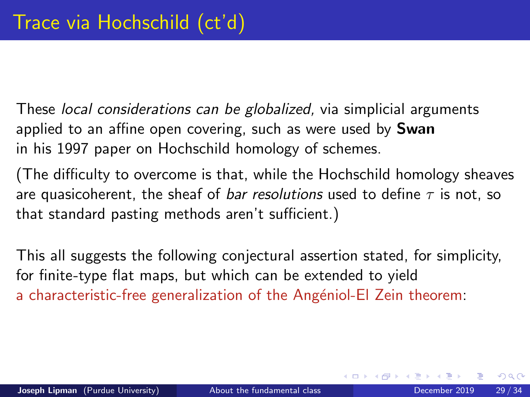These local considerations can be globalized, via simplicial arguments applied to an affine open covering, such as were used by **Swan** in his 1997 paper on Hochschild homology of schemes.

(The difficulty to overcome is that, while the Hochschild homology sheaves are quasicoherent, the sheaf of *bar resolutions* used to define  $\tau$  is not, so that standard pasting methods aren't sufficient.)

This all suggests the following conjectural assertion stated, for simplicity, for finite-type flat maps, but which can be extended to yield a characteristic-free generalization of the Angéniol-El Zein theorem: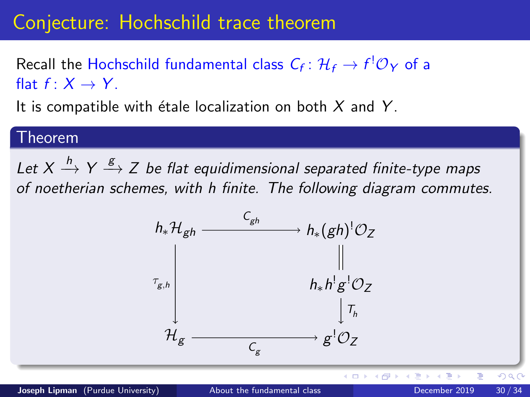### Conjecture: Hochschild trace theorem

Recall the Hochschild fundamental class  $\mathcal{C}_f \colon \mathcal{H}_f \to f^!\mathcal{O}_Y$  of a flat  $f: X \rightarrow Y$ 

It is compatible with étale localization on both  $X$  and  $Y$ .

#### Theorem

Let  $X \stackrel{h}{\longrightarrow} Y \stackrel{g}{\longrightarrow} Z$  be flat equidimensional separated finite-type maps of noetherian schemes, with h finite. The following diagram commutes.



 $\leftarrow$   $\Box$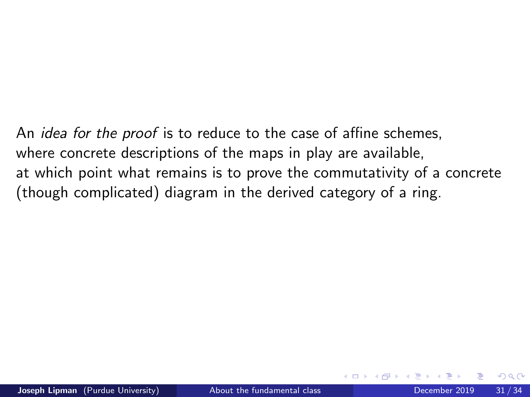<span id="page-30-0"></span>An *idea for the proof* is to reduce to the case of affine schemes, where concrete descriptions of the maps in play are available, at which point what remains is to prove the commutativity of a concrete (though complicated) diagram in the derived category of a ring.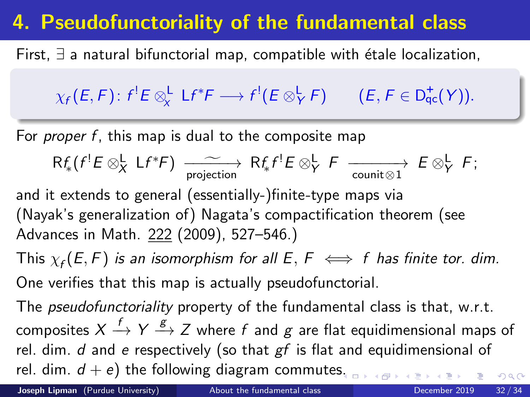## <span id="page-31-0"></span>4. Pseudofunctoriality of the fundamental class

First,  $\exists$  a natural bifunctorial map, compatible with étale localization,

$$
\chi_f(E,F)\colon f^!E\otimes^{\mathsf{L}}_{\chi} \mathsf{L} f^*F\longrightarrow f^! (E\otimes^{\mathsf{L}}_{Y} F) \qquad (E,F\in\mathsf{D}^+_{\mathsf{qc}}(Y)).
$$

For *proper f*, this map is dual to the composite map

$$
\mathsf{R} f_{*}(f^{!}E \otimes_{X}^{\mathsf{L}} \mathsf{L} f^{*}F) \xrightarrow[\text{projection}]{\sim} \mathsf{R} f_{*} f^{!}E \otimes_{Y}^{\mathsf{L}} F \xrightarrow[\text{counit} \otimes 1]{} E \otimes_{Y}^{\mathsf{L}} F;
$$

and it extends to general (essentially-)finite-type maps via (Nayak's generalization of) Nagata's compactification theorem (see Advances in Math. 222 (2009), 527–546.)

This  $\chi_f(E,F)$  is an isomorphism for all  $E,$   $F$   $\iff$   $f$  has finite tor. dim. One verifies that this map is actually pseudofunctorial.

The *pseudofunctoriality* property of the fundamental class is that, w.r.t. composites  $X\stackrel{f}{\rightarrow} Y \stackrel{g}{\rightarrow} Z$  where  $f$  and  $g$  are flat equidimensional maps of rel. dim.  $d$  and  $e$  respectively (so that  $gf$  is flat and equidimensional of rel. dim.  $d + e$ ) the following diagram commute[s.](#page-30-0)  $QQ$ 

Joseph Lipman (Purdue University) [About the fundamental class](#page-0-0) December 2019 32/34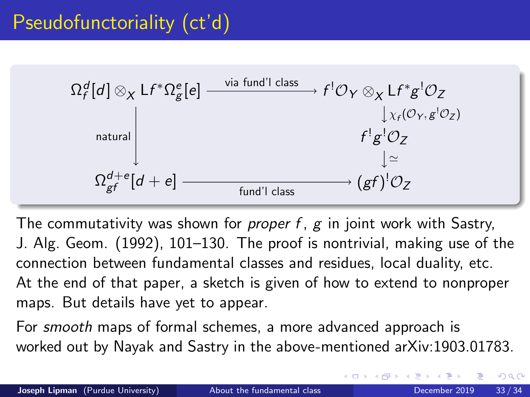

The commutativity was shown for *proper f*,  $g$  in joint work with Sastry, J. Alg. Geom. (1992), 101–130. The proof is nontrivial, making use of the connection between fundamental classes and residues, local duality, etc. At the end of that paper, a sketch is given of how to extend to nonproper maps. But details have yet to appear.

For smooth maps of formal schemes, a more advanced approach is worked out by Nayak and Sastry in the above-mentioned arXiv:1903.01783.